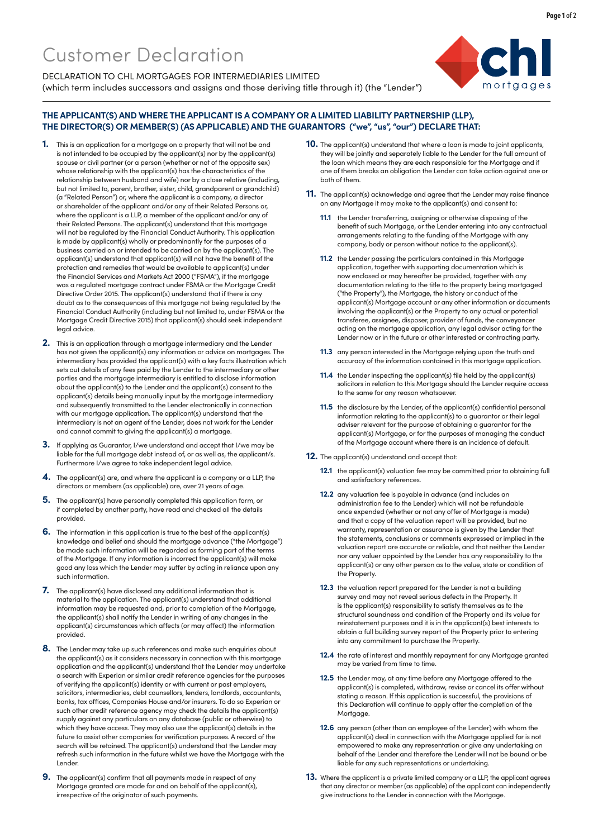

DECLARATION TO CHL MORTGAGES FOR INTERMEDIARIES LIMITED (which term includes successors and assigns and those deriving title through it) (the "Lender")

## **THE APPLICANT(S) AND WHERE THE APPLICANT IS A COMPANY OR A LIMITED LIABILITY PARTNERSHIP (LLP), THE DIRECTOR(S) OR MEMBER(S) (AS APPLICABLE) AND THE GUARANTORS ("we", "us", "our") DECLARE THAT:**

- **1.** This is an application for a mortgage on a property that will not be and is not intended to be occupied by the applicant(s) nor by the applicant(s) spouse or civil partner (or a person (whether or not of the opposite sex) whose relationship with the applicant(s) has the characteristics of the relationship between husband and wife) nor by a close relative (including, but not limited to, parent, brother, sister, child, grandparent or grandchild) (a "Related Person") or, where the applicant is a company, a director or shareholder of the applicant and/or any of their Related Persons or, where the applicant is a LLP, a member of the applicant and/or any of their Related Persons. The applicant(s) understand that this mortgage will not be regulated by the Financial Conduct Authority. This application is made by applicant(s) wholly or predominantly for the purposes of a business carried on or intended to be carried on by the applicant(s). The applicant(s) understand that applicant(s) will not have the benefit of the protection and remedies that would be available to applicant(s) under the Financial Services and Markets Act 2000 ("FSMA"), if the mortgage was a regulated mortgage contract under FSMA or the Mortgage Credit Directive Order 2015. The applicant(s) understand that if there is any doubt as to the consequences of this mortgage not being regulated by the Financial Conduct Authority (including but not limited to, under FSMA or the Mortgage Credit Directive 2015) that applicant(s) should seek independent legal advice.
- **2.** This is an application through a mortgage intermediary and the Lender has not given the applicant(s) any information or advice on mortgages. The intermediary has provided the applicant(s) with a key facts illustration which sets out details of any fees paid by the Lender to the intermediary or other parties and the mortgage intermediary is entitled to disclose information about the applicant(s) to the Lender and the applicant(s) consent to the applicant(s) details being manually input by the mortgage intermediary and subsequently transmitted to the Lender electronically in connection with our mortgage application. The applicant(s) understand that the intermediary is not an agent of the Lender, does not work for the Lender and cannot commit to giving the applicant(s) a mortgage.
- **3.** If applying as Guarantor, I/we understand and accept that I/we may be liable for the full mortgage debt instead of, or as well as, the applicant/s. Furthermore I/we agree to take independent legal advice
- **4.** The applicant(s) are, and where the applicant is a company or a LLP, the directors or members (as applicable) are, over 21 years of age.
- **5.** The applicant(s) have personally completed this application form, or if completed by another party, have read and checked all the details provided.
- **6.** The information in this application is true to the best of the applicant(s) knowledge and belief and should the mortgage advance ("the Mortgage") be made such information will be regarded as forming part of the terms of the Mortgage. If any information is incorrect the applicant(s) will make good any loss which the Lender may suffer by acting in reliance upon any such information.
- **7.** The applicant(s) have disclosed any additional information that is material to the application. The applicant(s) understand that additional information may be requested and, prior to completion of the Mortgage, the applicant(s) shall notify the Lender in writing of any changes in the applicant(s) circumstances which affects (or may affect) the information provided.
- **8.** The Lender may take up such references and make such enquiries about the applicant(s) as it considers necessary in connection with this mortgage application and the applicant(s) understand that the Lender may undertake a search with Experian or similar credit reference agencies for the purposes of verifying the applicant(s) identity or with current or past employers, solicitors, intermediaries, debt counsellors, lenders, landlords, accountants, banks, tax offices, Companies House and/or insurers. To do so Experian or such other credit reference agency may check the details the applicant(s) supply against any particulars on any database (public or otherwise) to which they have access. They may also use the applicant(s) details in the future to assist other companies for verification purposes. A record of the search will be retained. The applicant(s) understand that the Lender may refresh such information in the future whilst we have the Mortgage with the Lender.
- **9.** The applicant(s) confirm that all payments made in respect of any Mortgage granted are made for and on behalf of the applicant(s), irrespective of the originator of such payments.
- **10.** The applicant(s) understand that where a loan is made to joint applicants, they will be jointly and separately liable to the Lender for the full amount of the loan which means they are each responsible for the Mortgage and if one of them breaks an obligation the Lender can take action against one or both of them.
- **11.** The applicant(s) acknowledge and agree that the Lender may raise finance on any Mortgage it may make to the applicant(s) and consent to:
	- **11.1** the Lender transferring, assigning or otherwise disposing of the benefit of such Mortgage, or the Lender entering into any contractual arrangements relating to the funding of the Mortgage with any company, body or person without notice to the applicant(s).
	- **11.2** the Lender passing the particulars contained in this Mortgage application, together with supporting documentation which is now enclosed or may hereafter be provided, together with any documentation relating to the title to the property being mortgaged ("the Property"), the Mortgage, the history or conduct of the applicant(s) Mortgage account or any other information or documents involving the applicant(s) or the Property to any actual or potential transferee, assignee, disposer, provider of funds, the conveyancer acting on the mortgage application, any legal advisor acting for the Lender now or in the future or other interested or contracting party.
	- **11.3** any person interested in the Mortgage relying upon the truth and accuracy of the information contained in this mortgage application.
	- **11.4** the Lender inspecting the applicant(s) file held by the applicant(s) solicitors in relation to this Mortgage should the Lender require access to the same for any reason whatsoever.
	- **11.5** the disclosure by the Lender, of the applicant(s) confidential personal information relating to the applicant(s) to a guarantor or their legal adviser relevant for the purpose of obtaining a guarantor for the applicant(s) Mortgage, or for the purposes of managing the conduct of the Mortgage account where there is an incidence of default.
- **12.** The applicant(s) understand and accept that:
	- **12.1** the applicant(s) valuation fee may be committed prior to obtaining full and satisfactory references.
	- **12.2** any valuation fee is payable in advance (and includes an administration fee to the Lender) which will not be refundable once expended (whether or not any offer of Mortgage is made) and that a copy of the valuation report will be provided, but no warranty, representation or assurance is given by the Lender that the statements, conclusions or comments expressed or implied in the valuation report are accurate or reliable, and that neither the Lender nor any valuer appointed by the Lender has any responsibility to the applicant(s) or any other person as to the value, state or condition of the Property.
	- **12.3** the valuation report prepared for the Lender is not a building survey and may not reveal serious defects in the Property. It is the applicant(s) responsibility to satisfy themselves as to the structural soundness and condition of the Property and its value for reinstatement purposes and it is in the applicant(s) best interests to obtain a full building survey report of the Property prior to entering into any commitment to purchase the Property.
	- **12.4** the rate of interest and monthly repayment for any Mortgage granted may be varied from time to time.
	- **12.5** the Lender may, at any time before any Mortgage offered to the applicant(s) is completed, withdraw, revise or cancel its offer without stating a reason. If this application is successful, the provisions of this Declaration will continue to apply after the completion of the Mortagge.
	- **12.6** any person (other than an employee of the Lender) with whom the applicant(s) deal in connection with the Mortgage applied for is not empowered to make any representation or give any undertaking on behalf of the Lender and therefore the Lender will not be bound or be liable for any such representations or undertaking.
- **13.** Where the applicant is a private limited company or a LLP, the applicant agrees that any director or member (as applicable) of the applicant can independently give instructions to the Lender in connection with the Mortgage.